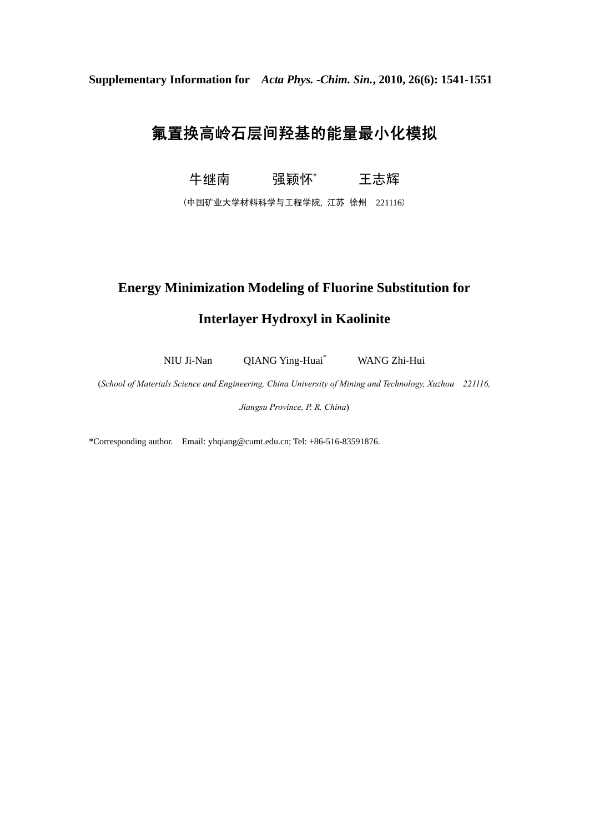**Supplementary Information for** *Acta Phys. -Chim. Sin.***, 2010, 26(6): 1541-1551** 

## 氟置换高岭石层间羟基的能量最小化模拟

牛继南 强颖怀\* 王志辉

(中国矿业大学材料科学与工程学院, 江苏 徐州 221116)

## **Energy Minimization Modeling of Fluorine Substitution for**

## **Interlayer Hydroxyl in Kaolinite**

NIU Ji-Nan QIANG Ying-Huai\* WANG Zhi-Hui

(*School of Materials Science and Engineering, China University of Mining and Technology, Xuzhou 221116,* 

*Jiangsu Province, P. R. China*)

\*Corresponding author. Email: yhqiang@cumt.edu.cn; Tel: +86-516-83591876.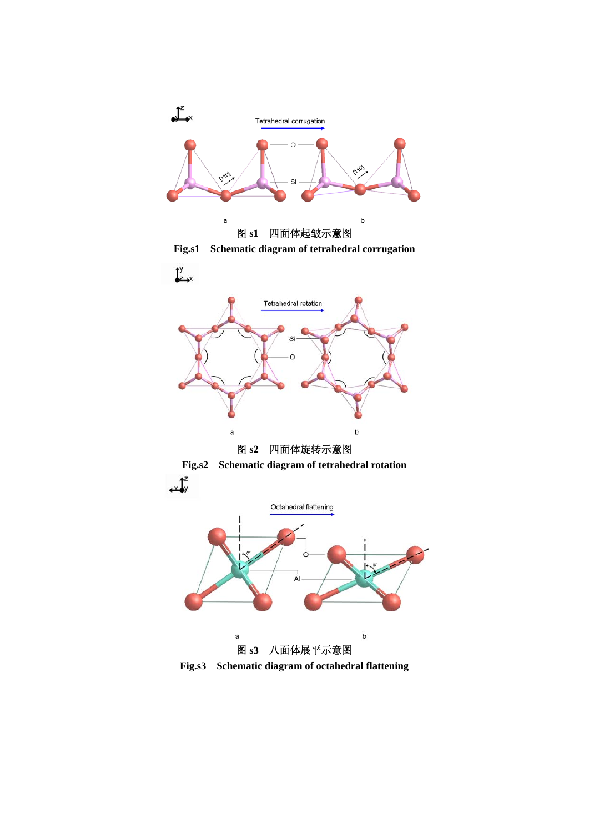

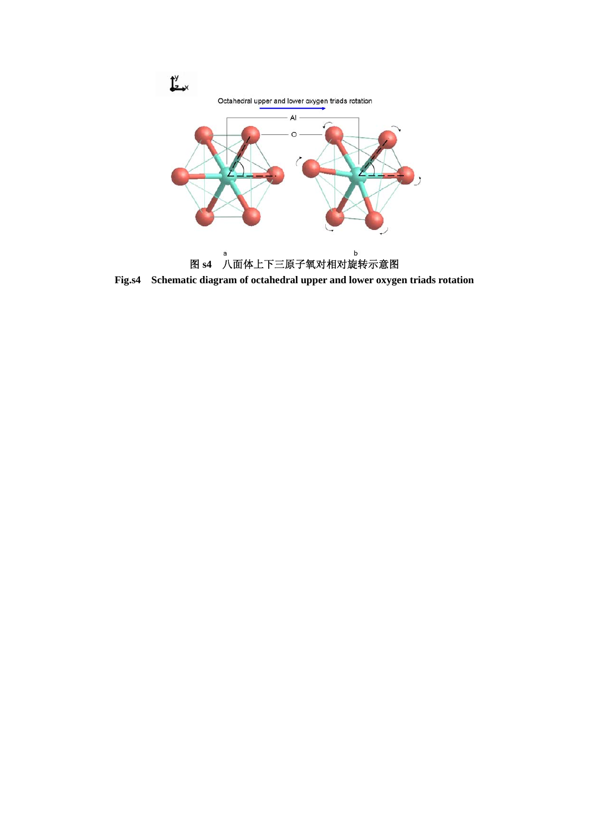